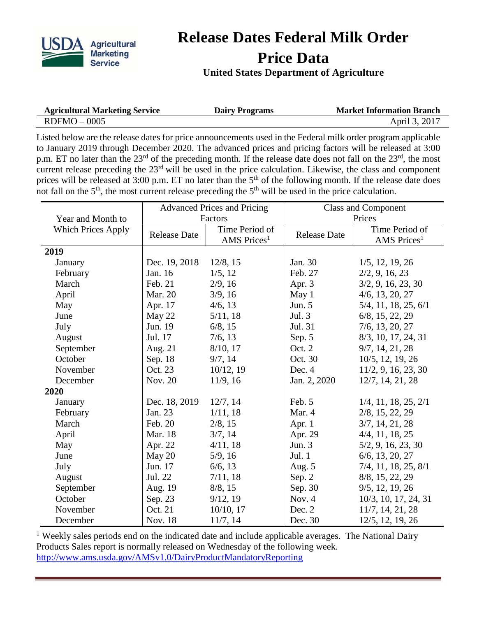

## **Release Dates Federal Milk Order Price Data**

## **United States Department of Agriculture**

| <b>Agricultural Marketing Service</b> | <b>Dairy Programs</b> | <b>Market Information Branch</b> |
|---------------------------------------|-----------------------|----------------------------------|
| $RDFMO - 0005$                        |                       | April 3, 2017                    |

Listed below are the release dates for price announcements used in the Federal milk order program applicable to January 2019 through December 2020. The advanced prices and pricing factors will be released at 3:00 p.m. ET no later than the 23<sup>rd</sup> of the preceding month. If the release date does not fall on the 23<sup>rd</sup>, the most current release preceding the 23<sup>rd</sup> will be used in the price calculation. Likewise, the class and component prices will be released at 3:00 p.m. ET no later than the 5<sup>th</sup> of the following month. If the release date does not fall on the  $5<sup>th</sup>$ , the most current release preceding the  $5<sup>th</sup>$  will be used in the price calculation.

|                           | <b>Advanced Prices and Pricing</b> |                                           | <b>Class and Component</b> |                                           |
|---------------------------|------------------------------------|-------------------------------------------|----------------------------|-------------------------------------------|
| Year and Month to         | Factors                            |                                           | Prices                     |                                           |
| <b>Which Prices Apply</b> | <b>Release Date</b>                | Time Period of<br>AMS Prices <sup>1</sup> | <b>Release Date</b>        | Time Period of<br>AMS Prices <sup>1</sup> |
| 2019                      |                                    |                                           |                            |                                           |
| January                   | Dec. 19, 2018                      | 12/8, 15                                  | Jan. 30                    | $1/5$ , 12, 19, 26                        |
| February                  | Jan. 16                            | 1/5, 12                                   | Feb. 27                    | 2/2, 9, 16, 23                            |
| March                     | Feb. 21                            | 2/9, 16                                   | Apr. 3                     | 3/2, 9, 16, 23, 30                        |
| April                     | Mar. 20                            | 3/9, 16                                   | May 1                      | $4/6$ , 13, 20, 27                        |
| May                       | Apr. 17                            | 4/6, 13                                   | Jun. 5                     | 5/4, 11, 18, 25, 6/1                      |
| June                      | May 22                             | 5/11, 18                                  | Jul. 3                     | $6/8$ , 15, 22, 29                        |
| July                      | Jun. 19                            | 6/8, 15                                   | Jul. 31                    | $7/6$ , 13, 20, 27                        |
| August                    | Jul. 17                            | 7/6, 13                                   | Sep. 5                     | 8/3, 10, 17, 24, 31                       |
| September                 | Aug. 21                            | 8/10, 17                                  | Oct. 2                     | 9/7, 14, 21, 28                           |
| October                   | Sep. 18                            | 9/7, 14                                   | Oct. 30                    | 10/5, 12, 19, 26                          |
| November                  | Oct. 23                            | 10/12, 19                                 | Dec. 4                     | 11/2, 9, 16, 23, 30                       |
| December                  | Nov. 20                            | 11/9, 16                                  | Jan. 2, 2020               | 12/7, 14, 21, 28                          |
| 2020                      |                                    |                                           |                            |                                           |
| January                   | Dec. 18, 2019                      | 12/7, 14                                  | Feb. 5                     | $1/4$ , 11, 18, 25, 2/1                   |
| February                  | Jan. 23                            | 1/11, 18                                  | Mar. 4                     | 2/8, 15, 22, 29                           |
| March                     | Feb. 20                            | 2/8, 15                                   | Apr. 1                     | 3/7, 14, 21, 28                           |
| April                     | Mar. 18                            | 3/7, 14                                   | Apr. 29                    | $4/4$ , 11, 18, 25                        |
| May                       | Apr. 22                            | 4/11, 18                                  | Jun. $3$                   | 5/2, 9, 16, 23, 30                        |
| June                      | May 20                             | 5/9, 16                                   | Jul. $1$                   | $6/6$ , 13, 20, 27                        |
| July                      | Jun. 17                            | 6/6, 13                                   | Aug. 5                     | 7/4, 11, 18, 25, 8/1                      |
| August                    | Jul. 22                            | 7/11, 18                                  | Sep. 2                     | 8/8, 15, 22, 29                           |
| September                 | Aug. 19                            | 8/8, 15                                   | Sep. 30                    | 9/5, 12, 19, 26                           |
| October                   | Sep. 23                            | 9/12, 19                                  | Nov. 4                     | 10/3, 10, 17, 24, 31                      |
| November                  | Oct. 21                            | $10/10$ , 17                              | Dec. 2                     | 11/7, 14, 21, 28                          |
| December                  | Nov. 18                            | 11/7, 14                                  | Dec. 30                    | 12/5, 12, 19, 26                          |

 $<sup>1</sup>$  Weekly sales periods end on the indicated date and include applicable averages. The National Dairy</sup> Products Sales report is normally released on Wednesday of the following week. <http://www.ams.usda.gov/AMSv1.0/DairyProductMandatoryReporting>